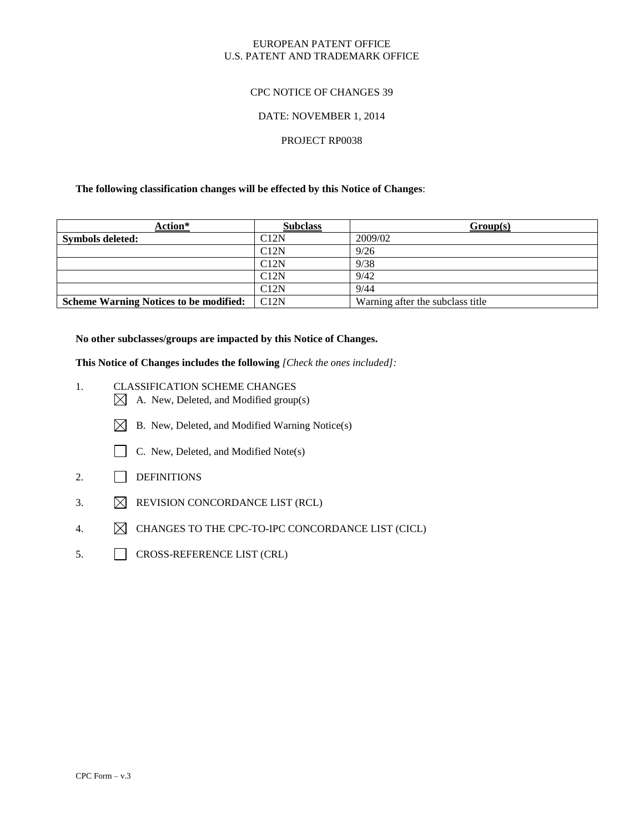### EUROPEAN PATENT OFFICE U.S. PATENT AND TRADEMARK OFFICE

# CPC NOTICE OF CHANGES 39

#### DATE: NOVEMBER 1, 2014

# PROJECT RP0038

#### **The following classification changes will be effected by this Notice of Changes**:

| Action*                                       | <b>Subclass</b> | Group(s)                         |
|-----------------------------------------------|-----------------|----------------------------------|
| <b>Symbols deleted:</b>                       | C12N            | 2009/02                          |
|                                               | C12N            | 9/26                             |
|                                               | C12N            | 9/38                             |
|                                               | C12N            | 9/42                             |
|                                               | C12N            | 9/44                             |
| <b>Scheme Warning Notices to be modified:</b> | C12N            | Warning after the subclass title |

**No other subclasses/groups are impacted by this Notice of Changes.**

**This Notice of Changes includes the following** *[Check the ones included]:*

- 1. CLASSIFICATION SCHEME CHANGES
	- $\boxtimes$  A. New, Deleted, and Modified group(s)
	- $\boxtimes$  B. New, Deleted, and Modified Warning Notice(s)
	- C. New, Deleted, and Modified Note(s)
- 2. DEFINITIONS
- 3.  $\boxtimes$  REVISION CONCORDANCE LIST (RCL)
- 4.  $\boxtimes$  CHANGES TO THE CPC-TO-IPC CONCORDANCE LIST (CICL)
- 5. CROSS-REFERENCE LIST (CRL)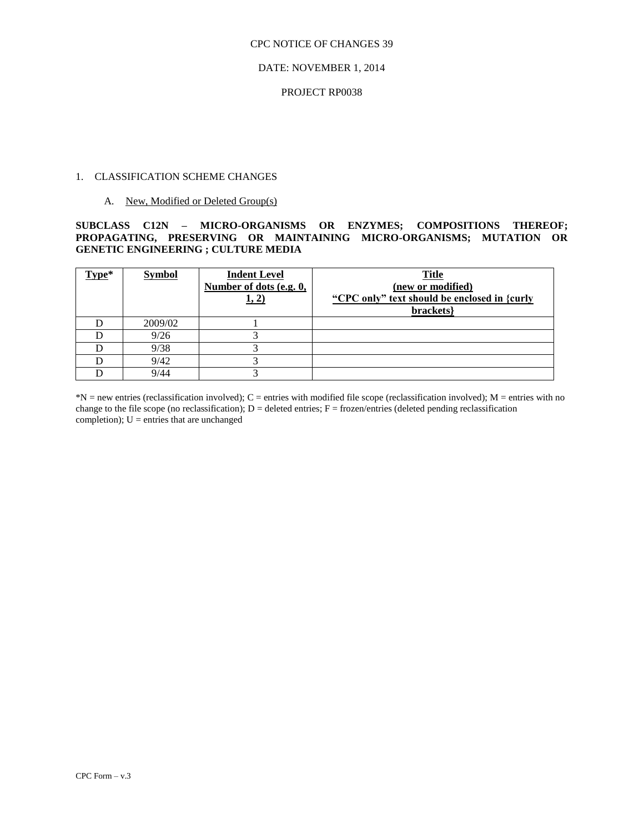### DATE: NOVEMBER 1, 2014

#### PROJECT RP0038

### 1. CLASSIFICATION SCHEME CHANGES

### A. New, Modified or Deleted Group(s)

**SUBCLASS C12N – MICRO-ORGANISMS OR ENZYMES; COMPOSITIONS THEREOF; PROPAGATING, PRESERVING OR MAINTAINING MICRO-ORGANISMS; MUTATION OR GENETIC ENGINEERING ; CULTURE MEDIA**

| Type* | <b>Symbol</b> | <b>Indent Level</b><br>Number of dots (e.g. 0,<br>1, 2) | <b>Title</b><br>(new or modified)<br>"CPC only" text should be enclosed in {curly<br>brackets} |
|-------|---------------|---------------------------------------------------------|------------------------------------------------------------------------------------------------|
|       | 2009/02       |                                                         |                                                                                                |
|       | 9/26          |                                                         |                                                                                                |
|       | 9/38          |                                                         |                                                                                                |
|       | 9/42          |                                                         |                                                                                                |
|       | 9/44          |                                                         |                                                                                                |

 $*N$  = new entries (reclassification involved); C = entries with modified file scope (reclassification involved); M = entries with no change to the file scope (no reclassification);  $D =$  deleted entries;  $F =$  frozen/entries (deleted pending reclassification) completion);  $U =$  entries that are unchanged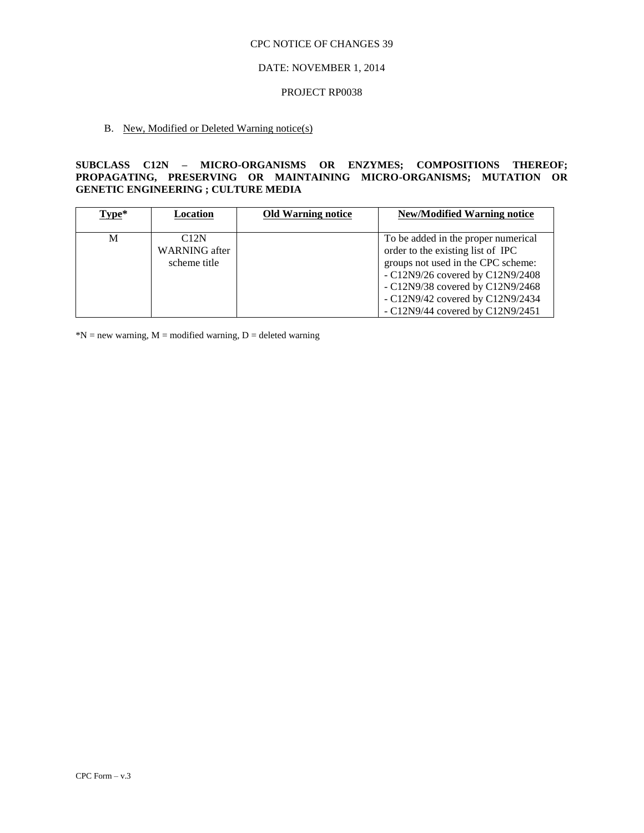#### DATE: NOVEMBER 1, 2014

#### PROJECT RP0038

# B. New, Modified or Deleted Warning notice(s)

# **SUBCLASS C12N – MICRO-ORGANISMS OR ENZYMES; COMPOSITIONS THEREOF; PROPAGATING, PRESERVING OR MAINTAINING MICRO-ORGANISMS; MUTATION OR GENETIC ENGINEERING ; CULTURE MEDIA**

| $Type*$ | Location             | <b>Old Warning notice</b> | <b>New/Modified Warning notice</b>  |
|---------|----------------------|---------------------------|-------------------------------------|
|         |                      |                           |                                     |
| М       | C12N                 |                           | To be added in the proper numerical |
|         | <b>WARNING</b> after |                           | order to the existing list of IPC   |
|         | scheme title         |                           | groups not used in the CPC scheme:  |
|         |                      |                           | $-C12N9/26$ covered by C12N9/2408   |
|         |                      |                           | $-C12N9/38$ covered by C12N9/2468   |
|         |                      |                           | $-C12N9/42$ covered by C12N9/2434   |
|         |                      |                           | $-C12N9/44$ covered by $C12N9/2451$ |

 $N = new warning, M = modified warning, D = deleted warning$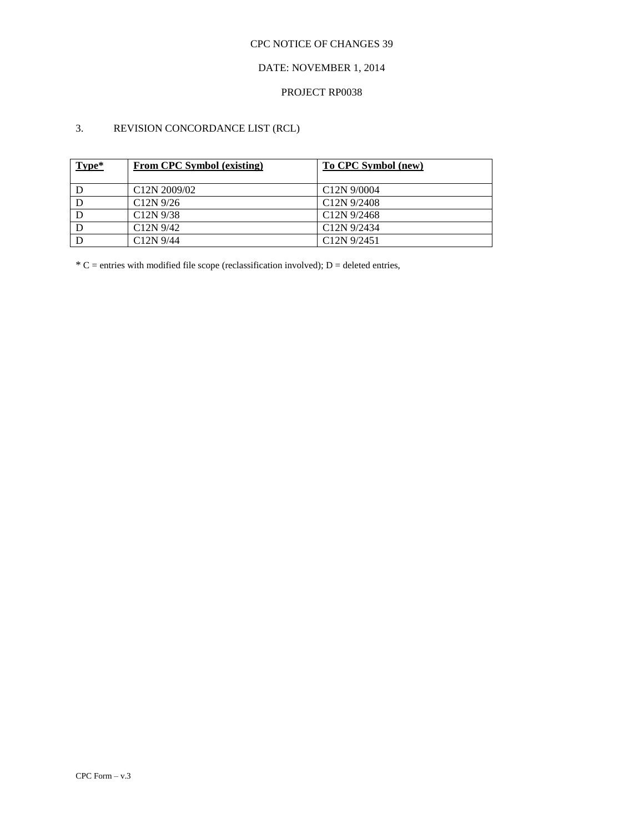# DATE: NOVEMBER 1, 2014

### PROJECT RP0038

# 3. REVISION CONCORDANCE LIST (RCL)

| Type* | <b>From CPC Symbol (existing)</b> | To CPC Symbol (new)      |
|-------|-----------------------------------|--------------------------|
|       | C <sub>12</sub> N 2009/02         | C <sub>12</sub> N 9/0004 |
|       | $C12N$ 9/26                       | C <sub>12</sub> N 9/2408 |
|       | $C12N$ 9/38                       | C <sub>12</sub> N 9/2468 |
|       | $C12N$ 9/42                       | C <sub>12</sub> N 9/2434 |
|       | $C12N$ 9/44                       | C <sub>12</sub> N 9/2451 |

 $*C$  = entries with modified file scope (reclassification involved); D = deleted entries,